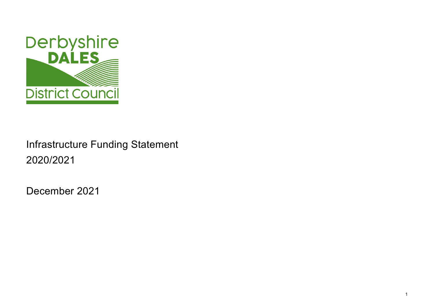1



# Infrastructure Funding Statement 2020/2021

December 2021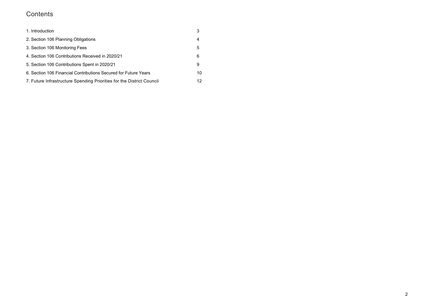# **Contents**

| 1. Introduction                                                       | 3   |
|-----------------------------------------------------------------------|-----|
| 2. Section 106 Planning Obligations                                   | 4   |
| 3. Section 106 Monitoring Fees                                        | 5   |
| 4. Section 106 Contributions Received in 2020/21                      | 6   |
| 5. Section 106 Contributions Spent in 2020/21                         | 9   |
| 6. Section 106 Financial Contributions Secured for Future Years       | 10  |
| 7. Future Infrastructure Spending Priorities for the District Council | 12. |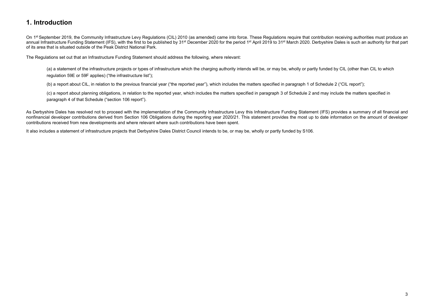# 1. Introduction

On 1<sup>st</sup> September 2019, the Community Infrastructure Levy Regulations (CIL) 2010 (as amended) came into force. These Regulations require that contribution receiving authorities must produce an annual Infrastructure Funding Statement (IFS), with the first to be published by 31<sup>st</sup> December 2020 for the period 1<sup>st</sup> April 2019 to 31<sup>st</sup> March 2020. Derbyshire Dales is such an authority for that part of its area that is situated outside of the Peak District National Park.

The Regulations set out that an Infrastructure Funding Statement should address the following, where relevant:

(a) a statement of the infrastructure projects or types of infrastructure which the charging authority intends will be, or may be, wholly or partly funded by CIL (other than CIL to which regulation 59E or 59F applies) ("the infrastructure list");

As Derbyshire Dales has resolved not to proceed with the implementation of the Community Infrastructure Levy this Infrastructure Funding Statement (IFS) provides a summary of all financial and nonfinancial developer contributions derived from Section 106 Obligations during the reporting year 2020/21. This statement provides the most up to date information on the amount of developer contributions received from new developments and where relevant where such contributions have been spent.

(b) a report about CIL, in relation to the previous financial year ("the reported year"), which includes the matters specified in paragraph 1 of Schedule 2 ("CIL report");

(c) a report about planning obligations, in relation to the reported year, which includes the matters specified in paragraph 3 of Schedule 2 and may include the matters specified in paragraph 4 of that Schedule ("section 106 report").

It also includes a statement of infrastructure projects that Derbyshire Dales District Council intends to be, or may be, wholly or partly funded by S106.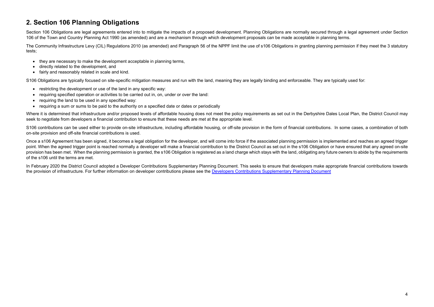# 2. Section 106 Planning Obligations

Section 106 Obligations are legal agreements entered into to mitigate the impacts of a proposed development. Planning Obligations are normally secured through a legal agreement under Section 106 of the Town and Country Planning Act 1990 (as amended) and are a mechanism through which development proposals can be made acceptable in planning terms.

The Community Infrastructure Levy (CIL) Regulations 2010 (as amended) and Paragraph 56 of the NPPF limit the use of s106 Obligations in granting planning permission if they meet the 3 statutory tests;

- they are necessary to make the development acceptable in planning terms,
- directly related to the development, and
- fairly and reasonably related in scale and kind.

S106 Obligations are typically focused on site-specific mitigation measures and run with the land, meaning they are legally binding and enforceable. They are typically used for:

- restricting the development or use of the land in any specific way:
- requiring specified operation or activities to be carried out in, on, under or over the land:
- requiring the land to be used in any specified way:
- requiring a sum or sums to be paid to the authority on a specified date or dates or periodically

Where it is determined that infrastructure and/or proposed levels of affordable housing does not meet the policy requirements as set out in the Derbyshire Dales Local Plan, the District Council may seek to negotiate from developers a financial contribution to ensure that these needs are met at the appropriate level.

S106 contributions can be used either to provide on-site infrastructure, including affordable housing, or off-site provision in the form of financial contributions. In some cases, a combination of both on-site provision and off-site financial contributions is used.

Once a s106 Agreement has been signed, it becomes a legal obligation for the developer, and will come into force if the associated planning permission is implemented and reaches an agreed trigger point. When the agreed trigger point is reached normally a developer will make a financial contribution to the District Council as set out in the s106 Obligation or have ensured that any agreed on-site provision has been met. When the planning permission is granted, the s106 Obligation is registered as a land charge which stays with the land, obligating any future owners to abide by the requirements of the s106 until the terms are met.

In February 2020 the District Council adopted a Developer Contributions Supplementary Planning Document. This seeks to ensure that developers make appropriate financial contributions towards the provision of infrastructure. For further information on developer contributions please see the Developers Contributions Supplementary Planning Document

- 
-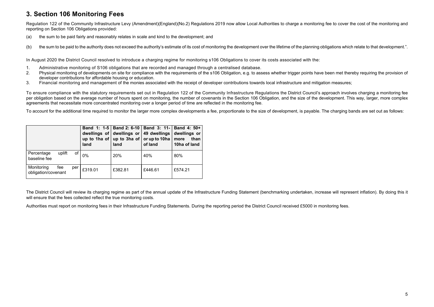# 3. Section 106 Monitoring Fees

- (a) the sum to be paid fairly and reasonably relates in scale and kind to the development; and
- (b) the sum to be paid to the authority does not exceed the authority's estimate of its cost of monitoring the development over the lifetime of the planning obligations which relate to that development.".

Regulation 122 of the Community Infrastructure Levy (Amendment)(England)(No.2) Regulations 2019 now allow Local Authorities to charge a monitoring fee to cover the cost of the monitoring and reporting on Section 106 Obligations provided:

In August 2020 the District Council resolved to introduce a charging regime for monitoring s106 Obligations to cover its costs associated with the:

- 1. Administrative monitoring of S106 obligations that are recorded and managed through a centralised database.
- 2. Physical monitoring of developments on site for compliance with the requirements of the s106 Obligation, e.g. to assess whether trigger points have been met thereby requiring the provision of developer contributions for affordable housing or education.
- 3. Financial monitoring and management of the monies associated with the receipt of developer contributions towards local infrastructure and mitigation measures;

The District Council will review its charging regime as part of the annual update of the Infrastructure Funding Statement (benchmarking undertaken, increase will represent inflation). By doing this it will ensure that the fees collected reflect the true monitoring costs.

To ensure compliance with the statutory requirements set out in Regulation 122 of the Community Infrastructure Regulations the District Council's approach involves charging a monitoring fee per obligation based on the average number of hours spent on monitoring, the number of covenants in the Section 106 Obligation, and the size of the development. This way, larger, more complex agreements that necessitate more concentrated monitoring over a longer period of time are reflected in the monitoring fee.

To account for the additional time required to monitor the larger more complex developments a fee, proportionate to the size of development, is payable. The charging bands are set out as follows:

|                                   |        |     | land    | Band 1: 1-5   Band 2: 6-10   Band 3: 11-   Band 4: 50+<br>dwellings of dwellings or<br>up to 1ha of $ $ up to 3ha of $ $<br>land | 49 dwellings<br>or up to 10ha<br>of land | dwellings or<br>than<br>more<br>10ha of land |
|-----------------------------------|--------|-----|---------|----------------------------------------------------------------------------------------------------------------------------------|------------------------------------------|----------------------------------------------|
| Percentage<br>baseline fee        | uplift | of  | 0%      | 20%                                                                                                                              | 40%                                      | 80%                                          |
| Monitoring<br>obligation/covenant | fee    | per | £319.01 | £382.81                                                                                                                          | £446.61                                  | £574.21                                      |

Authorities must report on monitoring fees in their Infrastructure Funding Statements. During the reporting period the District Council received £5000 in monitoring fees.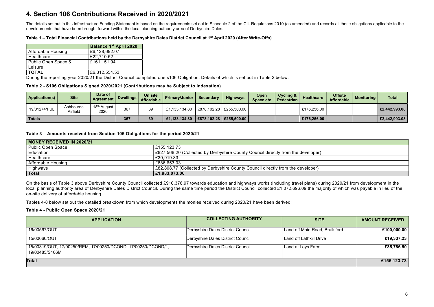# 4. Section 106 Contributions Received in 2020/2021

The details set out in this Infrastructure Funding Statement is based on the requirements set out in Schedule 2 of the CIL Regulations 2010 (as amended) and records all those obligations applicable to the developments that have been brought forward within the local planning authority area of Derbyshire Dales.

#### Table 1 – Total Financial Contributions held by the Derbyshire Dales District Council at 1st April 2020 (After Write-Offs)

|                           | <b>Balance 1st April 2020</b> |
|---------------------------|-------------------------------|
| <b>Affordable Housing</b> | £6,128,692.07                 |
| Healthcare                | £22,710.52                    |
| Public Open Space &       | £161,151.94                   |
| Leisure                   |                               |
| <b>TOTAL</b>              | £6,312,554.53                 |

During the reporting year 2020/21 the District Council completed one s106 Obligation. Details of which is set out in Table 2 below:

Table 2 - S106 Obligations Signed 2020/2021 (Contributions may be Subject to Indexation)

| <b>Application(s)</b> | <b>Site</b>           | Date of<br>Agreement                 | Dwellings | On site<br><b>Affordable</b> | <b>Primary/Junior</b>                     | <b>Secondary</b> | <b>Highways</b>           | <b>Open</b><br>Space etc | Cycling &<br><b>Pedestrian</b> | <b>Healthcare</b> | <b>Offsite</b><br><b>Affordable</b> | <b>Monitoring</b> | <b>Total</b>  |
|-----------------------|-----------------------|--------------------------------------|-----------|------------------------------|-------------------------------------------|------------------|---------------------------|--------------------------|--------------------------------|-------------------|-------------------------------------|-------------------|---------------|
| 19/01274/FUL          | Ashbourne<br>Airfield | 18 <sup>th</sup><br>' August<br>2020 | 367       | 39                           | £1,133,134.80                             |                  | £878,102.28   £255,500.00 |                          |                                | £176,256.00       |                                     |                   | E2,442,993.08 |
| <b>Totals</b>         |                       |                                      | 367       | 39                           | £1,133,134.80   £878,102.28   £255,500.00 |                  |                           |                          |                                | £176,256.00       |                                     |                   | £2,442,993.08 |

#### Table 3 – Amounts received from Section 106 Obligations for the period 2020/21

| MONEY RECEIVED IN 2020/21 |                                                                                  |
|---------------------------|----------------------------------------------------------------------------------|
| Public Open Space         | £155,123.73                                                                      |
| $^\mathrm{!}$ Education   | £827,568.20 (Collected by Derbyshire County Council directly from the developer) |
| Healthcare                | £30,919.33                                                                       |
| <b>Affordable Housing</b> | £886,653.03                                                                      |
| Highways                  | £82,808.77 (Collected by Derbyshire County Council directly from the developer)  |
| <b>Total</b>              | $ $ £1,983,073.06                                                                |

On the basis of Table 3 above Derbyshire County Council collected £910,376.97 towards education and highways works (including travel plans) during 2020/21 from development in the local planning authority area of Derbyshire Dales District Council. During the same time period the District Council collected £1,072,696.09 the majority of which was payable in lieu of the on-site delivery of affordable housing.

Tables 4-8 below set out the detailed breakdown from which developments the monies received during 2020/21 have been derived:

#### Table 4 - Public Open Space 2020/21

| <b>APPLICATION</b>                                                              | <b>COLLECTING AUTHORITY</b>              | <b>SITE</b>                    | <b>AMOUNT RECEIVED</b> |
|---------------------------------------------------------------------------------|------------------------------------------|--------------------------------|------------------------|
| 16/00567/OUT                                                                    | Derbyshire Dales District Council        | Land off Main Road, Brailsford | £100,000.00            |
| 15/00060/OUT                                                                    | <b>Derbyshire Dales District Council</b> | Land off Lathkill Drive        | £19,337.23             |
| 15/00319/OUT, 17/00250/REM, 17/00250/DCOND, 17/00250/DCOND/1,<br>19/00485/S106M | Derbyshire Dales District Council        | Land at Leys Farm              | £35,786.50             |
| <b>Total</b>                                                                    |                                          |                                | £155,123.73            |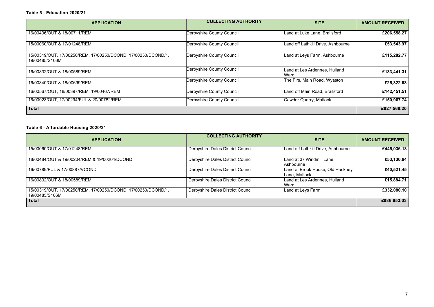#### Table 5 - Education 2020/21

| <b>APPLICATION</b>                                                              | <b>COLLECTING AUTHORITY</b>      | <b>SITE</b>                           | <b>AMOUNT RECEIVED</b> |
|---------------------------------------------------------------------------------|----------------------------------|---------------------------------------|------------------------|
| 16/00436/OUT & 18/00711/REM                                                     | <b>Derbyshire County Council</b> | Land at Luke Lane, Brailsford         | £206,558.27            |
| 15/00060/OUT & 17/01248/REM                                                     | <b>Derbyshire County Council</b> | Land off Lathkill Drive, Ashbourne    | £53,543.97             |
| 15/00319/OUT, 17/00250/REM, 17/00250/DCOND, 17/00250/DCOND/1,<br>19/00485/S106M | <b>Derbyshire County Council</b> | Land at Leys Farm, Ashbourne          | £115,282.77            |
| 16/00832/OUT & 18/00589/REM                                                     | <b>Derbyshire County Council</b> | Land at Les Ardennes, Hulland<br>Ward | £133,441.31            |
| 16/00340/OUT & 18/00699/REM                                                     | <b>Derbyshire County Council</b> | The Firs, Main Road, Wyaston          | £25,322.63             |
| 16/00567/OUT, 18/00397/REM, 19/00467/REM                                        | <b>Derbyshire County Council</b> | Land off Main Road, Brailsford        | £142,451.51            |
| 16/00923/OUT, 17/00294/FUL & 20/00782/REM                                       | <b>Derbyshire County Council</b> | <b>Cawdor Quarry, Matlock</b>         | £150,967.74            |
| <b>Total</b>                                                                    |                                  |                                       | £827,568.20            |

### Table 6 - Affordable Housing 2020/21

| <b>APPLICATION</b>                                                              | <b>COLLECTING AUTHORITY</b>              | <b>SITE</b>                                       | <b>AMOUNT RECEIVED</b> |
|---------------------------------------------------------------------------------|------------------------------------------|---------------------------------------------------|------------------------|
| 15/00060/OUT & 17/01248/REM                                                     | <b>Derbyshire Dales District Council</b> | Land off Lathkill Drive, Ashbourne                | £445,036.13            |
| 18/00484/OUT & 19/00204/REM & 19/00204/DCOND                                    | Derbyshire Dales District Council        | Land at 37 Windmill Lane,<br>Ashbourne            | £53,130.64             |
| 16/00789/FUL & 17/00887/VCOND                                                   | Derbyshire Dales District Council        | Land at Brook House, Old Hackney<br>Lane, Matlock | £40,521.45             |
| 16/00832/OUT & 18/00589/REM                                                     | Derbyshire Dales District Council        | Land at Les Ardennes, Hulland<br>Ward             | £15,884.71             |
| 15/00319/OUT, 17/00250/REM, 17/00250/DCOND, 17/00250/DCOND/1,<br>19/00485/S106M | Derbyshire Dales District Council        | Land at Leys Farm                                 | £332,080.10            |
| <b>Total</b>                                                                    |                                          |                                                   | £886,653.03            |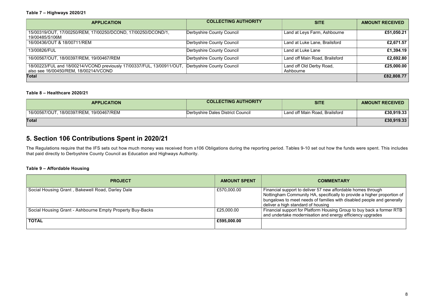| <b>APPLICATION</b>                                                                                                                        | <b>COLLECTING AUTHORITY</b>      | <b>SITE</b>                           | <b>AMOUNT RECEIVED</b> |
|-------------------------------------------------------------------------------------------------------------------------------------------|----------------------------------|---------------------------------------|------------------------|
| 15/00319/OUT, 17/00250/REM, 17/00250/DCOND, 17/00250/DCOND/1,<br>19/00485/S106M                                                           | Derbyshire County Council        | Land at Leys Farm, Ashbourne          | £51,050.21             |
| 16/00436/OUT & 18/00711/REM                                                                                                               | Derbyshire County Council        | Land at Luke Lane, Brailsford         | £2,671.57              |
| 13/00826/FUL                                                                                                                              | Derbyshire County Council        | Land at Luke Lane                     | £1,394.19              |
| 16/00567/OUT, 18/00397/REM, 19/00467/REM                                                                                                  | <b>Derbyshire County Council</b> | Land off Main Road, Brailsford        | £2,692.80              |
| 18/00223/FUL and 18/00214/VCOND previously 17/00337/FUL, 13/00911/OUT, Derbyshire County Council<br>also see 16/00450/REM, 18/00214/VCOND |                                  | Land off Old Derby Road,<br>Ashbourne | £25,000.00             |
| <b>Total</b>                                                                                                                              |                                  |                                       | £82,808.77             |

#### Table 8 – Healthcare 2020/21

| <b>APPLICATION</b>                       | <b>COLLECTING AUTHORITY</b>       | <b>SITE</b>                    | <b>AMOUNT RECEIVED</b> |
|------------------------------------------|-----------------------------------|--------------------------------|------------------------|
| 16/00567/OUT, 18/00397/REM, 19/00467/REM | Derbyshire Dales District Council | Land off Main Road, Brailsford | £30,919.33             |
| <b>Total</b>                             |                                   |                                | £30,919.33             |

# 5. Section 106 Contributions Spent in 2020/21

The Regulations require that the IFS sets out how much money was received from s106 Obligations during the reporting period. Tables 9-10 set out how the funds were spent. This includes that paid directly to Derbyshire County Council as Education and Highways Authority.

#### Table 9 – Affordable Housing

| <b>PROJECT</b>                                            | <b>AMOUNT SPENT</b> | <b>COMMENTARY</b>                                                                                                                                                                     |
|-----------------------------------------------------------|---------------------|---------------------------------------------------------------------------------------------------------------------------------------------------------------------------------------|
| Social Housing Grant, Bakewell Road, Darley Dale          | £570,000.00         | Financial support to deliver 57 new affordable<br>Nottingham Community HA, specifically to pro<br>bungalows to meet needs of families with disa<br>deliver a high standard of housing |
| Social Housing Grant - Ashbourne Empty Property Buy-Backs | £25,000.00          | <b>Financial support for Platform Housing Group</b><br>and undertake modernisation and energy effic                                                                                   |
| <b>TOTAL</b>                                              | £595,000.00         |                                                                                                                                                                                       |

ew affordable homes through cifically to provide a higher proportion of lies with disabled people and generally  $\frac{3}{2}$ using Group to buy back a former RTB

d energy efficiency upgrades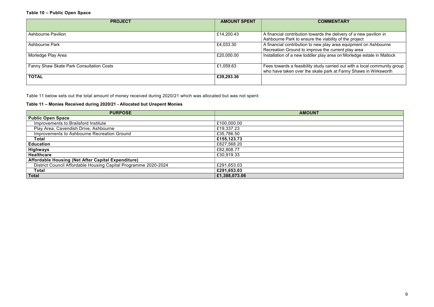#### Table 10 – Public Open Space

| <b>PROJECT</b>                           | <b>AMOUNT SPENT</b> | <b>CON</b>                                                              |
|------------------------------------------|---------------------|-------------------------------------------------------------------------|
|                                          |                     |                                                                         |
| <b>Ashbourne Pavilion</b>                | £14,200.43          | A financial contribution towards th<br>Ashbourne Park to ensure the via |
| <b>Ashbourne Park</b>                    | £4,033.30           | A financial contribution to new pla<br>Recreation Ground to improve the |
| Morledge Play Area                       | £20,000.00          | Installation of a new toddler play                                      |
| Fanny Shaw Skate Park Consultation Costs | £1,059.63           | Fees towards a feasibility study of<br>who have taken over the skate pa |
| <b>TOTAL</b>                             | £39,293.36          |                                                                         |

Table 11 below sets out the total amount of money received during 2020/21 which was allocated but was not spent:

### Table 11 – Monies Received during 2020/21 - Allocated but Unspent Monies

| <b>PURPOSE</b>                                                  | <b>AMOUNT</b> |
|-----------------------------------------------------------------|---------------|
| <b>Public Open Space</b>                                        |               |
| Improvements to Brailsford Institute                            | £100,000.00   |
| Play Area, Cavendish Drive, Ashbourne                           | £19,337.23    |
| Improvements to Ashbourne Recreation Ground                     | £35,786.50    |
| <b>Total</b>                                                    | £155,123.73   |
| <b>Education</b>                                                | £827,568.20   |
| <b>Highways</b>                                                 | £82,808.77    |
| <b>Healthcare</b>                                               | £30,919.33    |
| Affordable Housing (Net After Capital Expenditure)              |               |
| District Council Affordable Housing Capital Programme 2020-2024 | £291,653.03   |
| <b>Total</b>                                                    | £291,653.03   |
| <b>Total</b>                                                    | £1,388,073.06 |

### **MMENTARY**

the delivery of a new pavilion in ability of the project ay area equipment on Ashbourne recurrent play area area on Morledge estate in Matlock

 $\overline{\text{carried}}$  out with a local community group ark at Fanny Shaws in Wirksworth $\check{\phantom{a}}$ 

|                                                             |  | and the control of the con- |
|-------------------------------------------------------------|--|-----------------------------|
|                                                             |  |                             |
| <u> 1989 - Johann Stoff, amerikansk politiker (d. 1989)</u> |  |                             |
|                                                             |  |                             |
|                                                             |  |                             |
|                                                             |  |                             |
|                                                             |  |                             |
|                                                             |  |                             |
|                                                             |  |                             |
|                                                             |  |                             |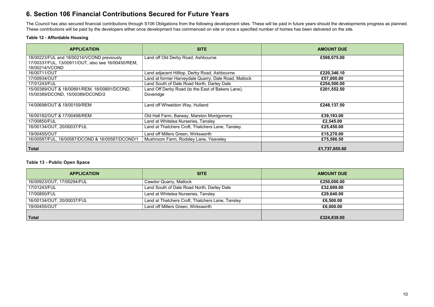# 6. Section 106 Financial Contributions Secured for Future Years

The Council has also secured financial contributions through S106 Obligations from the following development sites. These will be paid in future years should the developments progress as planned. These contributions will be paid by the developers either once development has commenced on site or once a specified number of homes has been delivered on the site.

#### Table 12 - Affordable Housing

| <b>APPLICATION</b>                                                                                                 | <b>SITE</b>                                                    | <b>AMOUNT DUE</b> |
|--------------------------------------------------------------------------------------------------------------------|----------------------------------------------------------------|-------------------|
| 18/00223/FUL and 18/00214/VCOND previously<br>17/00337/FUL, 13/00911/OUT, also see 16/00450/REM,<br>18/00214/VCOND | Land off Old Derby Road, Ashbourne                             | £598,075.00       |
| 16/00711/OUT                                                                                                       | Land adjacent Hilltop, Derby Road, Ashbourne                   | £220,346.10       |
| 17/00934/OUT                                                                                                       | Land at former Harveydale Quarry, Dale Road, Matlock           | £57,000.00        |
| 17/01243/FUL                                                                                                       | Land South of Dale Road North, Darley Dale                     | £254,500.00       |
| 15/00389/OUT & 18/00891/REM, 18/00891/DCOND,<br>15/00389/DCOND, 15/00389/DCOND/2                                   | Land Off Derby Road (to the East of Bakers Lane),<br>Doveridge | £201,552.50       |
| 14/00698/OUT & 19/00159/REM                                                                                        | Land off Wheeldon Way, Hulland                                 | £248,137.50       |
| 16/00182/OUT & 17/00498/REM                                                                                        | Old Hall Farm, Barway, Marston Montgomery                      | £39,193.00        |
| 17/00850/FUL                                                                                                       | Land at Whitelea Nurseries, Tansley                            | £2,545.00         |
| 16/00134/OUT, 20/00037/FUL                                                                                         | Land at Thatchers Croft, Thatchers Lane, Tansley               | £25,450.00        |
| 19/00455/OUT                                                                                                       | Land off Millers Green, Wirksworth                             | £15,270.00        |
| 16/00587/FUL, 16/00587/DCOND & 16/00587/DCOND/1                                                                    | Mushroom Farm, Rodsley Lane, Yeaveley                          | £75,586.50        |
| <b>Total</b>                                                                                                       |                                                                | £1,737,655.60     |

#### Table 13 - Public Open Space

| <b>APPLICATION</b>         | <b>SITE</b>                                      | <b>AMOUNT DUE</b> |
|----------------------------|--------------------------------------------------|-------------------|
| 16/00923/OUT, 17/00294/FUL | Cawdor Quarry, Matlock                           | £250,000.00       |
| 17/01243/FUL               | Land South of Dale Road North, Darley Dale       | £32,699.00        |
| 17/00850/FUL               | Land at Whitelea Nurseries, Tansley              | £29,640.00        |
| 16/00134/OUT, 20/00037/FUL | Land at Thatchers Croft, Thatchers Lane, Tansley | £6,500.00         |
| 19/00455/OUT               | Land off Millers Green, Wirksworth               | £6,000.00         |
|                            |                                                  |                   |
| <b>Total</b>               |                                                  | £324,839.00       |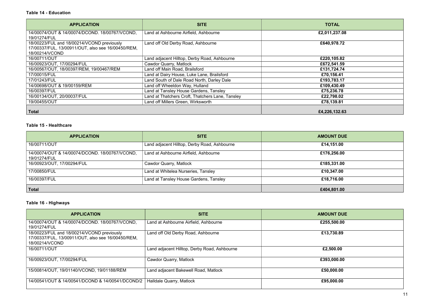| <b>APPLICATION</b>                                                                                                 | <b>SITE</b>                                      | <b>TOTAL</b>  |
|--------------------------------------------------------------------------------------------------------------------|--------------------------------------------------|---------------|
| 14/00074/OUT & 14/00074/DCOND. 18/00767/VCOND.<br>19/01274/FUL                                                     | Land at Ashbourne Airfield, Ashbourne            | £2,011,237.08 |
| 18/00223/FUL and 18/00214/VCOND previously<br>17/00337/FUL, 13/00911/OUT, also see 16/00450/REM,<br>18/00214/VCOND | Land off Old Derby Road, Ashbourne               | £640,978.72   |
| 16/00711/OUT                                                                                                       | Land adjacent Hilltop, Derby Road, Ashbourne     | £220,105.82   |
| 16/00923/OUT, 17/00294/FUL                                                                                         | <b>Cawdor Quarry, Matlock</b>                    | £672,541.59   |
| 16/00567/OUT, 18/00397/REM, 19/00467/REM                                                                           | Land off Main Road, Brailsford                   | £131,724.74   |
| 17/00015/FUL                                                                                                       | Land at Dairy House, Luke Lane, Brailsford       | £70,156.41    |
| 17/01243/FUL                                                                                                       | Land South of Dale Road North, Darley Dale       | £193,783.17   |
| 14/00698/OUT & 19/00159/REM                                                                                        | Land off Wheeldon Way, Hulland                   | £109,430.49   |
| 16/00397/FUL                                                                                                       | Land at Tansley House Gardens, Tansley           | £75,236.78    |
| 16/00134/OUT, 20/00037/FUL                                                                                         | Land at Thatchers Croft, Thatchers Lane, Tansley | £22,798.02    |
| 19/00455/OUT                                                                                                       | Land off Millers Green, Wirksworth               | £78,139.81    |
| <b>Total</b>                                                                                                       |                                                  | £4,226,132.63 |

#### Table 15 - Healthcare

| <b>APPLICATION</b>                                             | <b>SITE</b>                                  | <b>AMOUNT DUE</b> |
|----------------------------------------------------------------|----------------------------------------------|-------------------|
| 16/00711/OUT                                                   | Land adjacent Hilltop, Derby Road, Ashbourne | £14,151.00        |
| 14/00074/OUT & 14/00074/DCOND. 18/00767/VCOND,<br>19/01274/FUL | Land at Ashbourne Airfield, Ashbourne        | £176,256.00       |
| 16/00923/OUT, 17/00294/FUL                                     | <b>Cawdor Quarry, Matlock</b>                | £185,331.00       |
| 17/00850/FUL                                                   | Land at Whitelea Nurseries, Tansley          | £10,347.00        |
| 16/00397/FUL                                                   | Land at Tansley House Gardens, Tansley       | £18,716.00        |
| <b>Total</b>                                                   |                                              | £404,801.00       |

## Table 16 - Highways

| <b>APPLICATION</b>                                                                                                 | <b>SITE</b>                                  | <b>AMOUNT DUE</b> |
|--------------------------------------------------------------------------------------------------------------------|----------------------------------------------|-------------------|
| 14/00074/OUT & 14/00074/DCOND. 18/00767/VCOND,<br>19/01274/FUL                                                     | Land at Ashbourne Airfield, Ashbourne        | £255,500.00       |
| 18/00223/FUL and 18/00214/VCOND previously<br>17/00337/FUL, 13/00911/OUT, also see 16/00450/REM,<br>18/00214/VCOND | Land off Old Derby Road, Ashbourne           | £13,730.89        |
| 16/00711/OUT                                                                                                       | Land adjacent Hilltop, Derby Road, Ashbourne | £2,500.00         |
| 16/00923/OUT, 17/00294/FUL                                                                                         | <b>Cawdor Quarry, Matlock</b>                | £393,000.00       |
| 15/00814/OUT, 19/01140/VCOND, 19/01188/REM                                                                         | Land adjacent Bakewell Road, Matlock         | £50,000.00        |
| 14/00541/OUT & 14/00541/DCOND & 14/00541/DCOND/2                                                                   | Halldale Quarry, Matlock                     | £95,000.00        |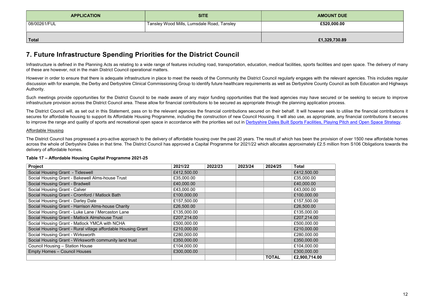| <b>APPLICATION</b> | <b>SITE</b>                                | <b>AMOUNT DUE</b> |
|--------------------|--------------------------------------------|-------------------|
| 08/00261/FUL       | Tansley Wood Mills, Lumsdale Road, Tansley | £520,000.00       |
| <b>Total</b>       |                                            | £1,329,730.89     |

# 7. Future Infrastructure Spending Priorities for the District Council

Infrastructure is defined in the Planning Acts as relating to a wide range of features including road, transportation, education, medical facilities, sports facilities and open space. The delivery of many of these are however, not in the main District Council operational matters.

Such meetings provide opportunities for the District Council to be made aware of any major funding opportunities that the lead agencies may have secured or be seeking to secure to improve infrastructure provision across the District Council area. These allow for financial contributions to be secured as appropriate through the planning application process.

The District Council will, as set out in this Statement, pass on to the relevant agencies the financial contributions secured on their behalf. It will however seek to utilise the financial contributions it secures for affordable housing to support its Affordable Housing Programme, including the construction of new Council Housing. It will also use, as appropriate, any financial contributions it secures to improve the range and quality of sports and recreational open space in accordance with the priorities set out in Derbyshire Dales Built Sports Facilities, Playing Pitch and Open Space Strategy.

However in order to ensure that there is adequate infrastructure in place to meet the needs of the Community the District Council regularly engages with the relevant agencies. This includes regular discussion with for example, the Derby and Derbyshire Clinical Commissioning Group to identify future healthcare requirements as well as Derbyshire County Council as both Education and Highways Authority.

#### Affordable Housing

The District Council has progressed a pro-active approach to the delivery of affordable housing over the past 20 years. The result of which has been the provision of over 1500 new affordable homes across the whole of Derbyshire Dales in that time. The District Council has approved a Capital Programme for 2021/22 which allocates approximately £2.5 million from S106 Obligations towards the delivery of affordable homes.

#### Table 17 – Affordable Housing Capital Programme 2021-25

| <b>Project</b>                                                | 2021/22     | 2022/23 | 2023/24 | 2024/25      | <b>Total</b>  |
|---------------------------------------------------------------|-------------|---------|---------|--------------|---------------|
| Social Housing Grant - Tideswell                              | £412,500.00 |         |         |              | £412,500.00   |
| Social Housing Grant - Bakewell Alms-house Trust              | £35,000.00  |         |         |              | £35,000.00    |
| Social Housing Grant - Bradwell                               | £40,000.00  |         |         |              | £40,000.00    |
| Social Housing Grant - Calver                                 | £43,000.00  |         |         |              | £43,000.00    |
| Social Housing Grant - Cromford / Matlock Bath                | £100,000.00 |         |         |              | £100,000.00   |
| Social Housing Grant - Darley Dale                            | £157,500.00 |         |         |              | £157,500.00   |
| Social Housing Grant - Harrison Alms-house Charity            | £26,500.00  |         |         |              | £26,500.00    |
| Social Housing Grant - Luke Lane / Mercaston Lane             | £135,000.00 |         |         |              | £135,000.00   |
| Social Housing Grant - Matlock Almshouse Trust                | £207,214.00 |         |         |              | £207,214.00   |
| Social Housing Grant - Matlock YMCA with NCHA                 | £500,000.00 |         |         |              | £500,000.00   |
| Social Housing Grant - Rural village affordable Housing Grant | £210,000.00 |         |         |              | £210,000.00   |
| Social Housing Grant - Wirksworth                             | £280,000.00 |         |         |              | £280,000.00   |
| Social Housing Grant - Wirksworth community land trust        | £350,000.00 |         |         |              | £350,000.00   |
| Council Housing - Station House                               | £104,000.00 |         |         |              | £104,000.00   |
| <b>Empty Homes - Council Houses</b>                           | £300,000.00 |         |         |              | £300,000.00   |
|                                                               |             |         |         | <b>TOTAL</b> | £2,900,714.00 |